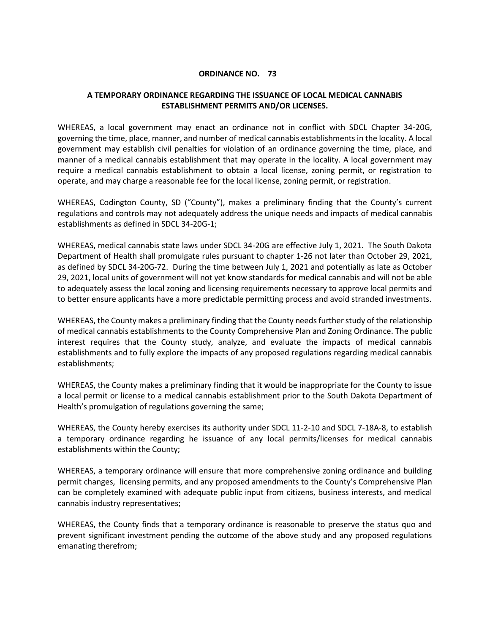## **ORDINANCE NO. 73**

## **A TEMPORARY ORDINANCE REGARDING THE ISSUANCE OF LOCAL MEDICAL CANNABIS ESTABLISHMENT PERMITS AND/OR LICENSES.**

WHEREAS, a local government may enact an ordinance not in conflict with SDCL Chapter 34-20G, governing the time, place, manner, and number of medical cannabis establishments in the locality. A local government may establish civil penalties for violation of an ordinance governing the time, place, and manner of a medical cannabis establishment that may operate in the locality. A local government may require a medical cannabis establishment to obtain a local license, zoning permit, or registration to operate, and may charge a reasonable fee for the local license, zoning permit, or registration.

WHEREAS, Codington County, SD ("County"), makes a preliminary finding that the County's current regulations and controls may not adequately address the unique needs and impacts of medical cannabis establishments as defined in SDCL 34-20G-1;

WHEREAS, medical cannabis state laws under SDCL 34-20G are effective July 1, 2021. The South Dakota Department of Health shall promulgate rules pursuant to chapter 1-26 not later than October 29, 2021, as defined by SDCL 34-20G-72. During the time between July 1, 2021 and potentially as late as October 29, 2021, local units of government will not yet know standards for medical cannabis and will not be able to adequately assess the local zoning and licensing requirements necessary to approve local permits and to better ensure applicants have a more predictable permitting process and avoid stranded investments.

WHEREAS, the County makes a preliminary finding that the County needs further study of the relationship of medical cannabis establishments to the County Comprehensive Plan and Zoning Ordinance. The public interest requires that the County study, analyze, and evaluate the impacts of medical cannabis establishments and to fully explore the impacts of any proposed regulations regarding medical cannabis establishments;

WHEREAS, the County makes a preliminary finding that it would be inappropriate for the County to issue a local permit or license to a medical cannabis establishment prior to the South Dakota Department of Health's promulgation of regulations governing the same;

WHEREAS, the County hereby exercises its authority under SDCL 11-2-10 and SDCL 7-18A-8, to establish a temporary ordinance regarding he issuance of any local permits/licenses for medical cannabis establishments within the County;

WHEREAS, a temporary ordinance will ensure that more comprehensive zoning ordinance and building permit changes, licensing permits, and any proposed amendments to the County's Comprehensive Plan can be completely examined with adequate public input from citizens, business interests, and medical cannabis industry representatives;

WHEREAS, the County finds that a temporary ordinance is reasonable to preserve the status quo and prevent significant investment pending the outcome of the above study and any proposed regulations emanating therefrom;